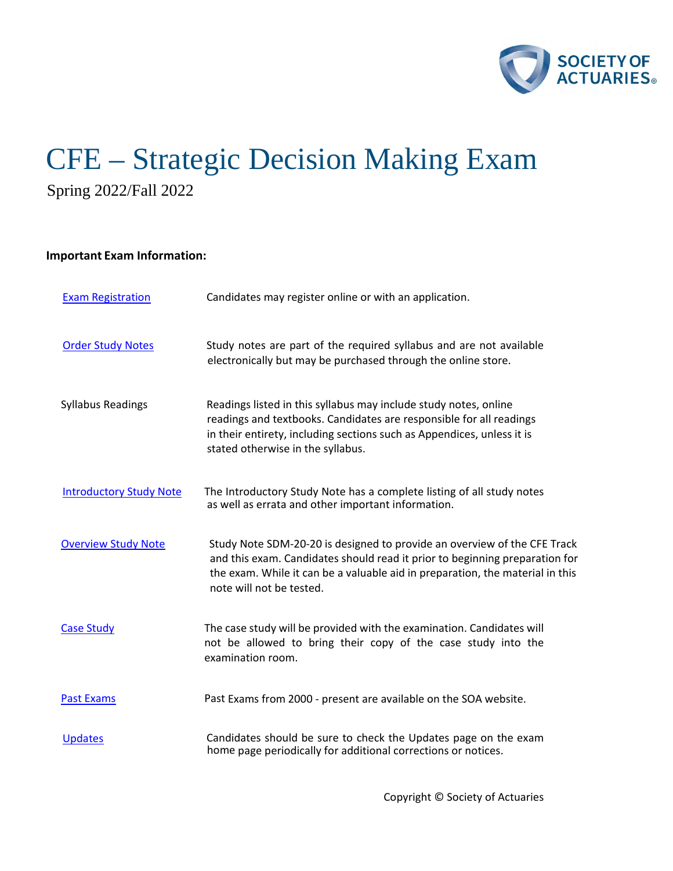

# CFE – Strategic Decision Making Exam Spring 2022/Fall 2022

# **Important Exam Information:**

| <b>Exam Registration</b>       | Candidates may register online or with an application.                                                                                                                                                                                                               |
|--------------------------------|----------------------------------------------------------------------------------------------------------------------------------------------------------------------------------------------------------------------------------------------------------------------|
| <b>Order Study Notes</b>       | Study notes are part of the required syllabus and are not available<br>electronically but may be purchased through the online store.                                                                                                                                 |
| <b>Syllabus Readings</b>       | Readings listed in this syllabus may include study notes, online<br>readings and textbooks. Candidates are responsible for all readings<br>in their entirety, including sections such as Appendices, unless it is<br>stated otherwise in the syllabus.               |
| <b>Introductory Study Note</b> | The Introductory Study Note has a complete listing of all study notes<br>as well as errata and other important information.                                                                                                                                          |
| <b>Overview Study Note</b>     | Study Note SDM-20-20 is designed to provide an overview of the CFE Track<br>and this exam. Candidates should read it prior to beginning preparation for<br>the exam. While it can be a valuable aid in preparation, the material in this<br>note will not be tested. |
| <b>Case Study</b>              | The case study will be provided with the examination. Candidates will<br>not be allowed to bring their copy of the case study into the<br>examination room.                                                                                                          |
| <b>Past Exams</b>              | Past Exams from 2000 - present are available on the SOA website.                                                                                                                                                                                                     |
| <b>Updates</b>                 | Candidates should be sure to check the Updates page on the exam<br>home page periodically for additional corrections or notices.                                                                                                                                     |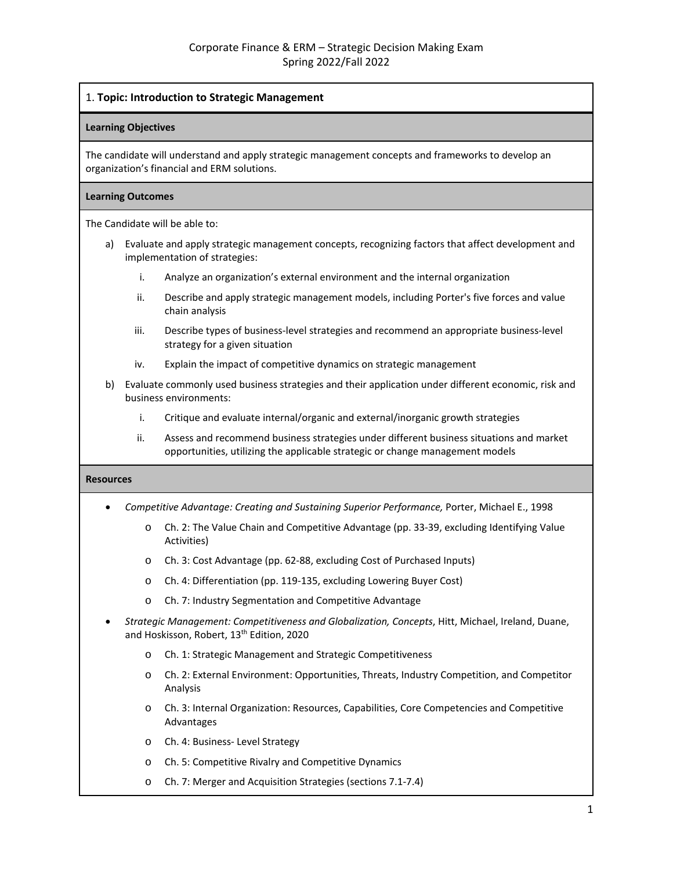# 1. **Topic: Introduction to Strategic Management**

#### **Learning Objectives**

The candidate will understand and apply strategic management concepts and frameworks to develop an organization's financial and ERM solutions.

#### **Learning Outcomes**

The Candidate will be able to:

- a) Evaluate and apply strategic management concepts, recognizing factors that affect development and implementation of strategies:
	- i. Analyze an organization's external environment and the internal organization
	- ii. Describe and apply strategic management models, including Porter's five forces and value chain analysis
	- iii. Describe types of business-level strategies and recommend an appropriate business-level strategy for a given situation
	- iv. Explain the impact of competitive dynamics on strategic management
- b) Evaluate commonly used business strategies and their application under different economic, risk and business environments:
	- i. Critique and evaluate internal/organic and external/inorganic growth strategies
	- ii. Assess and recommend business strategies under different business situations and market opportunities, utilizing the applicable strategic or change management models

- *Competitive Advantage: Creating and Sustaining Superior Performance,* Porter, Michael E., 1998
	- o Ch. 2: The Value Chain and Competitive Advantage (pp. 33-39, excluding Identifying Value Activities)
	- o Ch. 3: Cost Advantage (pp. 62-88, excluding Cost of Purchased Inputs)
	- o Ch. 4: Differentiation (pp. 119-135, excluding Lowering Buyer Cost)
	- o Ch. 7: Industry Segmentation and Competitive Advantage
- *Strategic Management: Competitiveness and Globalization, Concepts*, Hitt, Michael, Ireland, Duane, and Hoskisson, Robert, 13<sup>th</sup> Edition, 2020
	- o Ch. 1: Strategic Management and Strategic Competitiveness
	- o Ch. 2: External Environment: Opportunities, Threats, Industry Competition, and Competitor Analysis
	- o Ch. 3: Internal Organization: Resources, Capabilities, Core Competencies and Competitive Advantages
	- o Ch. 4: Business- Level Strategy
	- o Ch. 5: Competitive Rivalry and Competitive Dynamics
	- o Ch. 7: Merger and Acquisition Strategies (sections 7.1-7.4)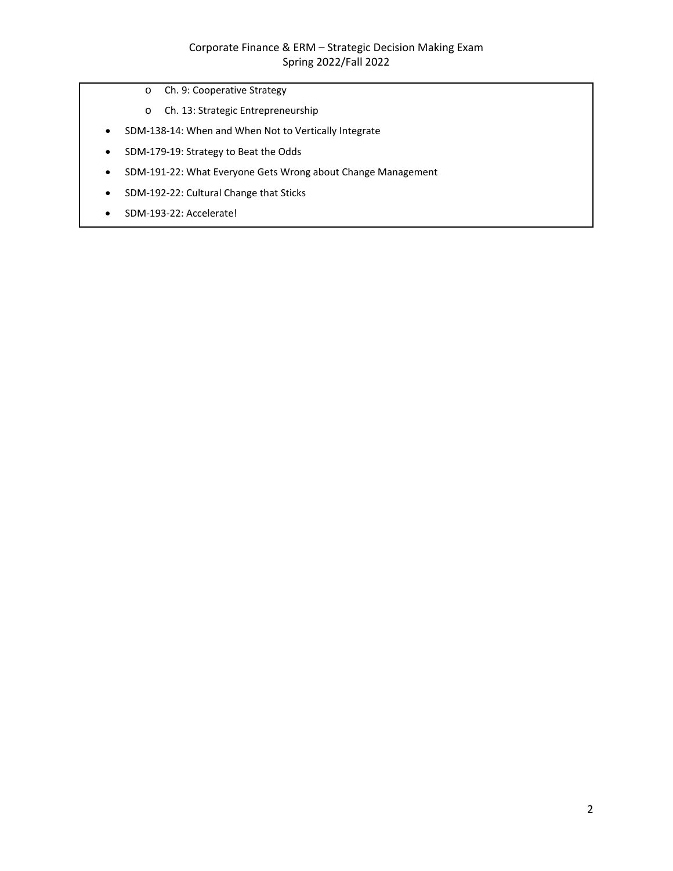- o Ch. 9: Cooperative Strategy
- o Ch. 13: Strategic Entrepreneurship
- SDM-138-14: When and When Not to Vertically Integrate
- SDM-179-19: Strategy to Beat the Odds
- SDM-191-22: What Everyone Gets Wrong about Change Management
- SDM-192-22: Cultural Change that Sticks
- SDM-193-22: Accelerate!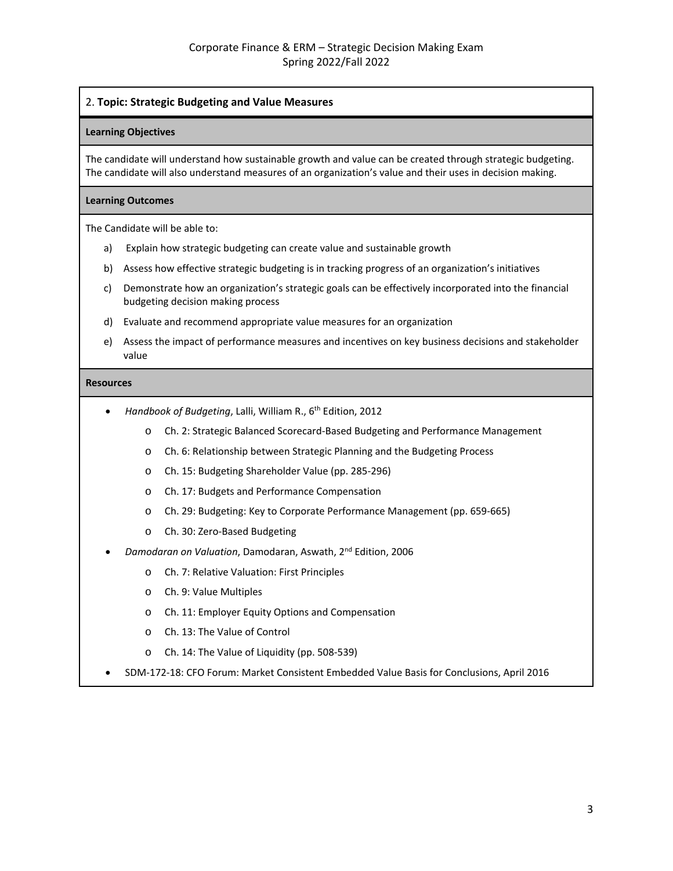# 2. **Topic: Strategic Budgeting and Value Measures**

#### **Learning Objectives**

The candidate will understand how sustainable growth and value can be created through strategic budgeting. The candidate will also understand measures of an organization's value and their uses in decision making.

#### **Learning Outcomes**

The Candidate will be able to:

- a) Explain how strategic budgeting can create value and sustainable growth
- b) Assess how effective strategic budgeting is in tracking progress of an organization's initiatives
- c) Demonstrate how an organization's strategic goals can be effectively incorporated into the financial budgeting decision making process
- d) Evaluate and recommend appropriate value measures for an organization
- e) Assess the impact of performance measures and incentives on key business decisions and stakeholder value

- *Handbook of Budgeting*, Lalli, William R., 6th Edition, 2012
	- o Ch. 2: Strategic Balanced Scorecard-Based Budgeting and Performance Management
	- o Ch. 6: Relationship between Strategic Planning and the Budgeting Process
	- o Ch. 15: Budgeting Shareholder Value (pp. 285-296)
	- o Ch. 17: Budgets and Performance Compensation
	- o Ch. 29: Budgeting: Key to Corporate Performance Management (pp. 659-665)
	- o Ch. 30: Zero-Based Budgeting
- *Damodaran on Valuation*, Damodaran, Aswath, 2nd Edition, 2006
	- o Ch. 7: Relative Valuation: First Principles
	- o Ch. 9: Value Multiples
	- o Ch. 11: Employer Equity Options and Compensation
	- o Ch. 13: The Value of Control
	- o Ch. 14: The Value of Liquidity (pp. 508-539)
- SDM-172-18: CFO Forum: Market Consistent Embedded Value Basis for Conclusions, April 2016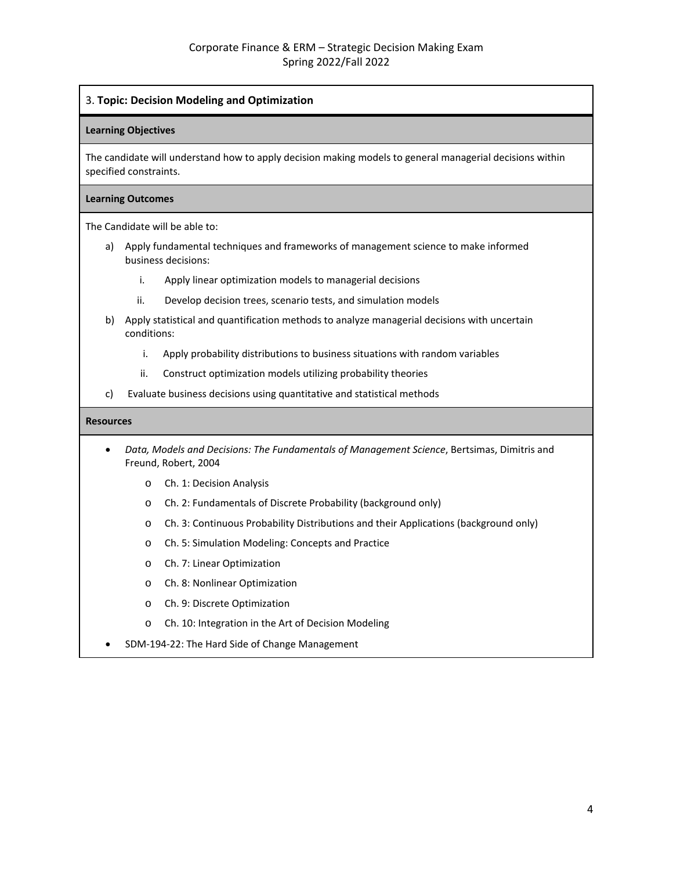# 3. **Topic: Decision Modeling and Optimization**

#### **Learning Objectives**

The candidate will understand how to apply decision making models to general managerial decisions within specified constraints.

#### **Learning Outcomes**

The Candidate will be able to:

- a) Apply fundamental techniques and frameworks of management science to make informed business decisions:
	- i. Apply linear optimization models to managerial decisions
	- ii. Develop decision trees, scenario tests, and simulation models
- b) Apply statistical and quantification methods to analyze managerial decisions with uncertain conditions:
	- i. Apply probability distributions to business situations with random variables
	- ii. Construct optimization models utilizing probability theories
- c) Evaluate business decisions using quantitative and statistical methods

- *Data, Models and Decisions: The Fundamentals of Management Science*, Bertsimas, Dimitris and Freund, Robert, 2004
	- o Ch. 1: Decision Analysis
	- o Ch. 2: Fundamentals of Discrete Probability (background only)
	- o Ch. 3: Continuous Probability Distributions and their Applications (background only)
	- o Ch. 5: Simulation Modeling: Concepts and Practice
	- o Ch. 7: Linear Optimization
	- o Ch. 8: Nonlinear Optimization
	- o Ch. 9: Discrete Optimization
	- o Ch. 10: Integration in the Art of Decision Modeling
- SDM-194-22: The Hard Side of Change Management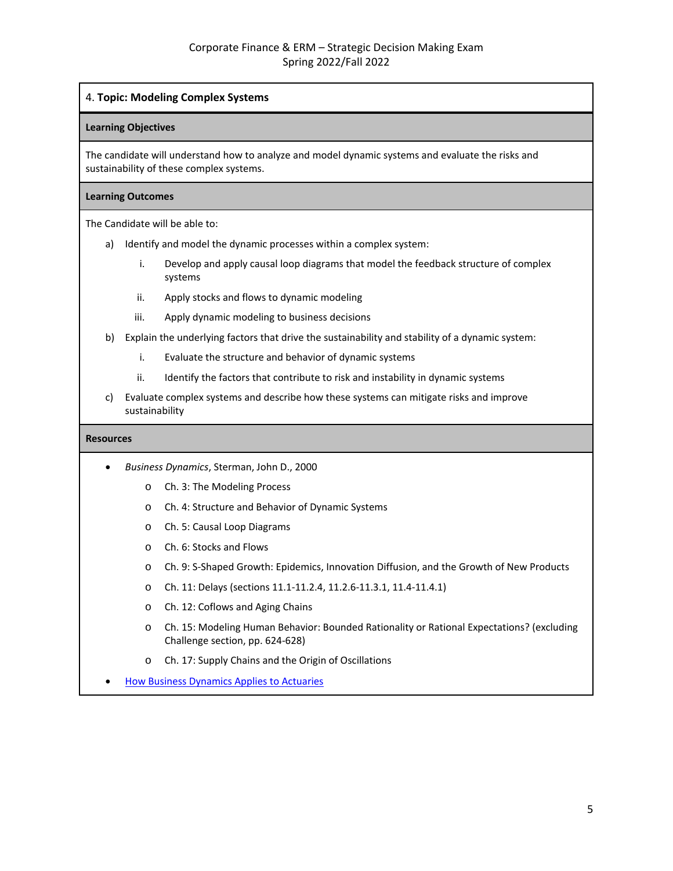# 4. **Topic: Modeling Complex Systems**

#### **Learning Objectives**

The candidate will understand how to analyze and model dynamic systems and evaluate the risks and sustainability of these complex systems.

#### **Learning Outcomes**

The Candidate will be able to:

- a) Identify and model the dynamic processes within a complex system:
	- i. Develop and apply causal loop diagrams that model the feedback structure of complex systems
	- ii. Apply stocks and flows to dynamic modeling
	- iii. Apply dynamic modeling to business decisions
- b) Explain the underlying factors that drive the sustainability and stability of a dynamic system:
	- i. Evaluate the structure and behavior of dynamic systems
	- ii. Identify the factors that contribute to risk and instability in dynamic systems
- c) Evaluate complex systems and describe how these systems can mitigate risks and improve sustainability

- *Business Dynamics*, Sterman, John D., 2000
	- o Ch. 3: The Modeling Process
	- o Ch. 4: Structure and Behavior of Dynamic Systems
	- o Ch. 5: Causal Loop Diagrams
	- o Ch. 6: Stocks and Flows
	- o Ch. 9: S-Shaped Growth: Epidemics, Innovation Diffusion, and the Growth of New Products
	- o Ch. 11: Delays (sections 11.1-11.2.4, 11.2.6-11.3.1, 11.4-11.4.1)
	- o Ch. 12: Coflows and Aging Chains
	- o Ch. 15: Modeling Human Behavior: Bounded Rationality or Rational Expectations? (excluding Challenge section, pp. 624-628)
	- o Ch. 17: Supply Chains and the Origin of Oscillations
- [How Business Dynamics Applies](https://www.soa.org/globalassets/assets/files/edu/2020/spring/intro-study-notes/how-business-dynamics-applies.pdf) to Actuaries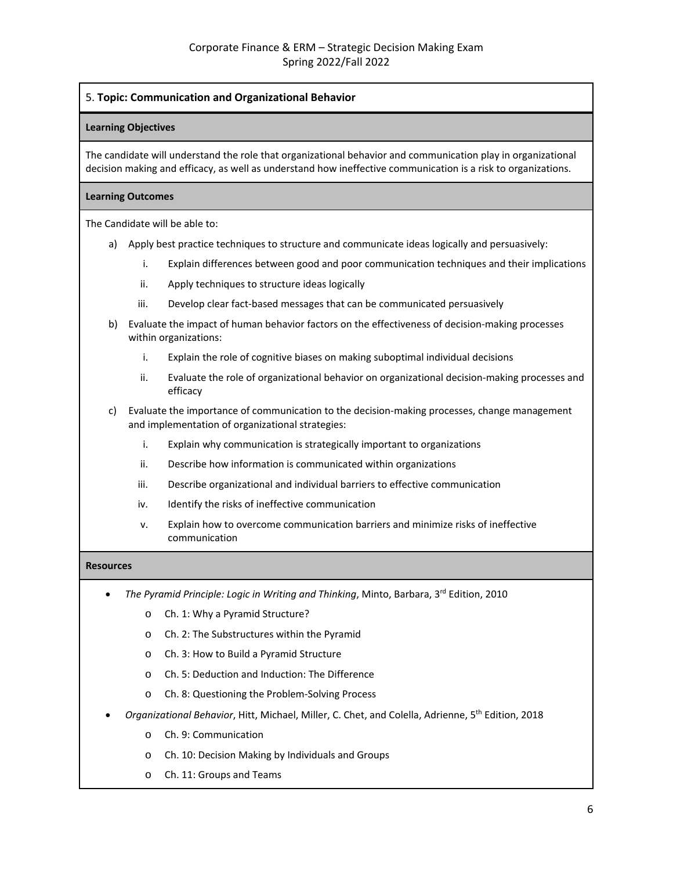# 5. **Topic: Communication and Organizational Behavior**

# **Learning Objectives**

The candidate will understand the role that organizational behavior and communication play in organizational decision making and efficacy, as well as understand how ineffective communication is a risk to organizations.

# **Learning Outcomes**

The Candidate will be able to:

- a) Apply best practice techniques to structure and communicate ideas logically and persuasively:
	- i. Explain differences between good and poor communication techniques and their implications
	- ii. Apply techniques to structure ideas logically
	- iii. Develop clear fact-based messages that can be communicated persuasively
- b) Evaluate the impact of human behavior factors on the effectiveness of decision-making processes within organizations:
	- i. Explain the role of cognitive biases on making suboptimal individual decisions
	- ii. Evaluate the role of organizational behavior on organizational decision-making processes and efficacy
- c) Evaluate the importance of communication to the decision-making processes, change management and implementation of organizational strategies:
	- i. Explain why communication is strategically important to organizations
	- ii. Describe how information is communicated within organizations
	- iii. Describe organizational and individual barriers to effective communication
	- iv. Identify the risks of ineffective communication
	- v. Explain how to overcome communication barriers and minimize risks of ineffective communication

- *The Pyramid Principle: Logic in Writing and Thinking*, Minto, Barbara, 3rd Edition, 2010
	- o Ch. 1: Why a Pyramid Structure?
	- o Ch. 2: The Substructures within the Pyramid
	- o Ch. 3: How to Build a Pyramid Structure
	- o Ch. 5: Deduction and Induction: The Difference
	- o Ch. 8: Questioning the Problem-Solving Process
- *Organizational Behavior*, Hitt, Michael, Miller, C. Chet, and Colella, Adrienne, 5th Edition, 2018
	- o Ch. 9: Communication
	- o Ch. 10: Decision Making by Individuals and Groups
	- o Ch. 11: Groups and Teams